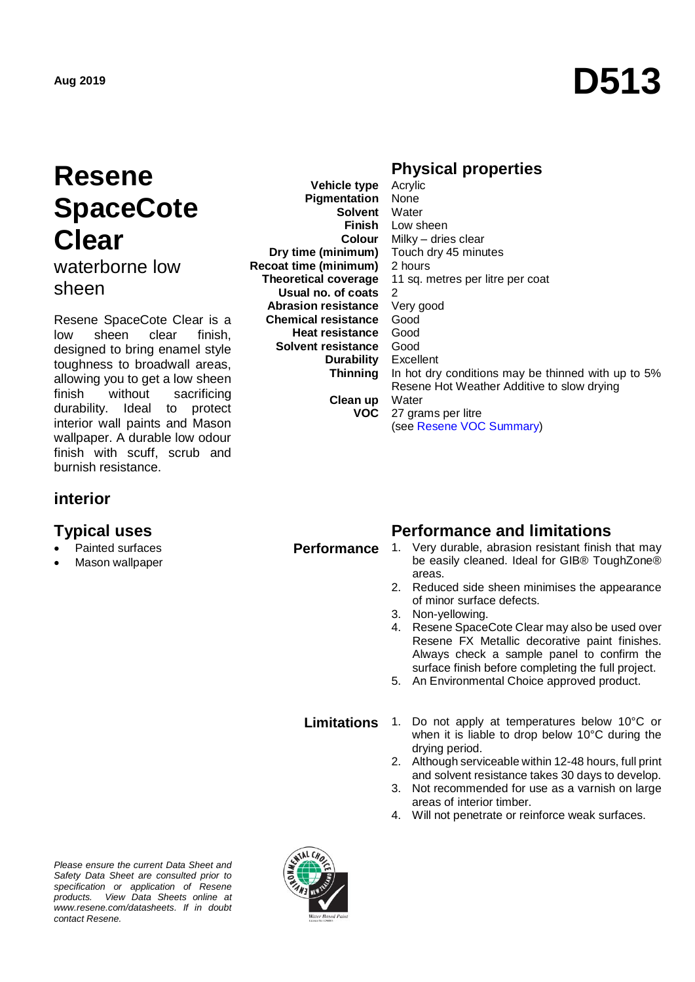# **Resene SpaceCote Clear**

waterborne low sheen

Resene SpaceCote Clear is a low sheen clear finish, designed to bring enamel style toughness to broadwall areas, allowing you to get a low sheen finish without sacrificing durability. Ideal to protect interior wall paints and Mason wallpaper. A durable low odour finish with scuff, scrub and burnish resistance.

## **interior**

- Painted surfaces
- Mason wallpaper

**Pigmentation Solvent Finish Colour Dry time (minimum) Recoat time (minimum) Theoretical coverage Usual no. of coats Abrasion resistance Chemical resistance Heat resistance Solvent resistance Durability Thinning**

**Vehicle type**

#### **Clean up VOC**

#### **Physical properties**  Acrylic

None Water Low sheen Milky – dries clear Touch dry 45 minutes 2 hours 11 sq. metres per litre per coat  $\mathcal{D}$ Very good Good Good Good Excellent In hot dry conditions may be thinned with up to 5% Resene Hot Weather Additive to slow drying **Water** 27 grams per litre (see [Resene VOC Summary\)](http://www.resene.co.nz/archspec/datashts/vocsummary.pdf)

## **Typical uses Performance and limitations**

- **Performance** 1. Very durable, abrasion resistant finish that may be easily cleaned. Ideal for GIB® ToughZone® areas.
	- 2. Reduced side sheen minimises the appearance of minor surface defects.
	- 3. Non-yellowing.
	- 4. Resene SpaceCote Clear may also be used over Resene FX Metallic decorative paint finishes. Always check a sample panel to confirm the surface finish before completing the full project.
	- 5. An Environmental Choice approved product.

- **Limitations** 1. Do not apply at temperatures below 10°C or when it is liable to drop below 10°C during the drying period.
	- 2. Although serviceable within 12-48 hours, full print and solvent resistance takes 30 days to develop.
	- 3. Not recommended for use as a varnish on large areas of interior timber.
	- 4. Will not penetrate or reinforce weak surfaces.

*Please ensure the current Data Sheet and Safety Data Sheet are consulted prior to specification or application of Resene products. View Data Sheets online at [www.resene.com/datasheets.](http://www.resene.com/datasheets) If in doubt contact Resene.*